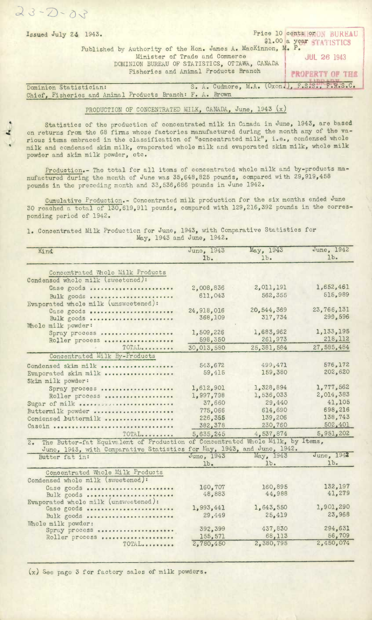$23 - 2 - 0.7$ 

## PRODUCTION OF CONCENTRATED MILK, CANADA, June, 1943  $(x)$

Statistics of the production of concentrated milk in Canada in June, 1943, are based on returns from the 68 firms whose factories manufactured during the month any of the various items embraced in the classification of "ooncentrated milk", i.e., condensed whole milk and condensed skim milk, evaporated whole milk and evaporated skim milk, whole milk powder and skim milk powder, etc.

Production.- The tbtal for all items of concentrated whole milk and by-products manufactured during the month of June was 35,648,825 pounds, compared with 29,919,458 pounds in the preceding month and 33,536,686 pounds in June 1942.

Cumulative Production. Concentrated milk production for the six months ended June 30 reached a total of 130,619,911 pounds, compared with 129,216,392 pounds in the corresponding period of 1942.

Concentrated Milk Production for June, 1943, with Comparative Statistics for May, 1943 and June, 1942.

| Kind                                                                                | June, 1943<br>1 <sub>b</sub> | May, 1943<br>$1b$ . | June, 1942<br>1 <sub>b</sub> |
|-------------------------------------------------------------------------------------|------------------------------|---------------------|------------------------------|
| Concentrated Whole Milk Products                                                    |                              |                     |                              |
| Condensed whole milk (sweetened):                                                   |                              |                     |                              |
| Case goods                                                                          | 2,008,836                    | 2,011,191           | 1,652,461                    |
| Bulk goods                                                                          | 611,043                      | 562,355             | 515,989                      |
| Evaporated whole milk (unsweetened):                                                |                              |                     |                              |
| Case goods                                                                          | 24,918,016                   | 20,544,369          | 23,766,131                   |
| Bulk goods                                                                          | 368,109                      | 317,734             | 299,596                      |
| Whole milk powder:                                                                  |                              |                     |                              |
| Spray process                                                                       | 1,509,226                    | 1,683,962           | 1,133,195                    |
| Roller process                                                                      | 598,350                      | 261,973             | 218,112                      |
| TOTAL                                                                               | 30,013,580                   | 25,381,584          | 27,585,484                   |
| Concentrated Milk By-Products                                                       |                              |                     |                              |
| Condensed skim milk                                                                 | 543,672                      | 499,471             | 576,172                      |
| Evaporated skim milk                                                                | 59,415                       | 159,380             | 202,620                      |
| Skim milk powder:                                                                   |                              |                     |                              |
| Spray process                                                                       | 1,612,901                    | 1,328,894           | 1,777,562                    |
| Roller process                                                                      | 1,997,798                    | 1,536,033           | 2,014,383                    |
| Sugar of milk                                                                       | 37,660                       | 29,440              | 41,105                       |
| Buttermilk powder                                                                   | 775,066                      | 614,690             | 698,216                      |
| Condensed buttermilk                                                                | 226,355                      | 139,206             | 138,743                      |
| Casein                                                                              | 382,378                      | 230,760             | 502,401                      |
| TOTAL                                                                               | 5,635,245                    | 4,537,874           | 5,951,202                    |
| The Butter-fat Equivalent of Production of Concentrated Whole Milk, by Items,<br>2. |                              |                     |                              |
| June, 1943, with Comparative Statistics for May, 1943, and June, 1942.              |                              |                     |                              |
| Butter fat in:                                                                      | June, 1943                   | May, 1943           | June, 1942                   |
|                                                                                     | 1b <sub>•</sub>              | $1b$ .              | 1 <sub>b</sub>               |
| Concentrated Whole Milk Products                                                    |                              |                     |                              |
| Condensed whole milk (sweetened):                                                   |                              |                     |                              |
| Case goods                                                                          | 160,707                      | 160,895             | 132,197                      |
| Bulk goods                                                                          | 48,883                       | 44,988              | 41,279                       |
| Evaporated whole milk (unsweetened):                                                | 1,993,441                    | 1,643,550           | 1,901,290                    |
| Case goods                                                                          | 29,449                       | 25,419              | 23,968                       |
| Bulk goods                                                                          |                              |                     |                              |
| Whole milk powder:<br>Spray process                                                 | 392,399                      | 437,830             | 294,631                      |
| Roller process                                                                      | 155,571                      | 68,113              | 56,709                       |
| TOTAL                                                                               | 2,780,450                    | 2,380,795           | 2,450,074                    |

(x) See page 3 for factory sales of milk powders.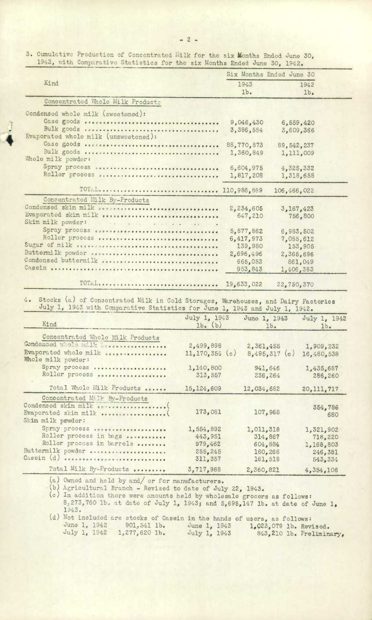3. Cumulative Production of Concentrated hulk for the **six** Months Ended Juno 30, 1943, with Comparative Statistics for the six Months Ended June 30, 1942.

|                                                                                         |                                 |                        | Six Months Ended June 30     |                                                                            |
|-----------------------------------------------------------------------------------------|---------------------------------|------------------------|------------------------------|----------------------------------------------------------------------------|
| Kind                                                                                    |                                 | 1943                   |                              | 1942                                                                       |
|                                                                                         |                                 | 1b.                    |                              | 1b <sub>•</sub>                                                            |
| Concentrated Whole Milk Product:                                                        |                                 |                        |                              |                                                                            |
| Condensed whole milk (sweetened):                                                       |                                 |                        |                              |                                                                            |
| Case goods enecossessessessessessessessessesses                                         |                                 | 9,046,430              |                              | 6,559,420                                                                  |
|                                                                                         |                                 | 3,386,554              |                              | 3,609,366                                                                  |
| Evaporated whole milk (unsweetened):                                                    |                                 |                        |                              |                                                                            |
|                                                                                         |                                 | 88,770,873             | 89, 542, 237                 |                                                                            |
| Whole milk powder:                                                                      |                                 | 1,360,849              |                              | 1,111,009                                                                  |
| Spray process secondo descriptions des consequents and                                  |                                 | 6,604,975              |                              | 4,325,332                                                                  |
| Roller process overcontractors.                                                         |                                 | 1,817,208              |                              | 1,318,658                                                                  |
|                                                                                         |                                 |                        |                              |                                                                            |
| TOTAL 110,986,889                                                                       |                                 |                        | 106,466,022                  |                                                                            |
| Concentrated Milk By-Products                                                           |                                 |                        |                              |                                                                            |
| Condonsed skim milk cocrescessors                                                       |                                 | 2,234,605              |                              | 3,167,423                                                                  |
| Evaporated skim milk<br>Skim milk powder:                                               |                                 | 647,210                |                              | 756.800                                                                    |
| The Commission of the Commission of the Commission                                      |                                 |                        |                              |                                                                            |
| Spray process esconossessessessessessessessesses<br>Roller process                      |                                 | 5,877,862<br>6,417,973 |                              | 6,983,502                                                                  |
| Sugar of milk occoncressors                                                             |                                 | 139,980                |                              | 7,055,612<br>153,905                                                       |
| Buttermilk powder seconds                                                               |                                 | 2,696,496              |                              | 2,365,696                                                                  |
| Condensed buttermilk consecuences                                                       |                                 |                        |                              |                                                                            |
|                                                                                         |                                 |                        |                              |                                                                            |
|                                                                                         |                                 | 665,053<br>953,843     |                              | 861,049<br>1,406,383                                                       |
|                                                                                         |                                 |                        |                              |                                                                            |
| TOTAL                                                                                   |                                 | 19,633,022             | 22,750,370                   |                                                                            |
| Stocks (a) of Consentrated Milk in Cold Storages, Warehouses, and Dairy Factories<br>4. |                                 |                        |                              |                                                                            |
| July 1, 1943 with Comparative Statistics for June 1, 1943 and July 1, 1942.             | July 1, 1943                    |                        | June 1, 1943                 | July 1, 1942                                                               |
| Kind                                                                                    | $1b.$ (b)                       |                        | 1 <sub>b</sub>               | 1b.                                                                        |
|                                                                                         |                                 |                        |                              |                                                                            |
| Concentrated Whole Milk Products                                                        |                                 |                        |                              |                                                                            |
| Condensed whole will deseases<br>Evaporated whole milk seconomic                        | 2,499,898<br>$11, 170, 354$ (c) |                        | 2,361,455<br>$8,495,317$ (c) |                                                                            |
| Whole milk powder:                                                                      |                                 |                        |                              |                                                                            |
| Spray process                                                                           | 1,140,800                       |                        | 941,646                      |                                                                            |
| Roller process                                                                          | 313,557                         |                        | 236,264                      |                                                                            |
| Total Whole Milk Products                                                               | 15, 124, 609                    |                        |                              |                                                                            |
|                                                                                         |                                 |                        | 12,034,682                   |                                                                            |
| Concentrated Milk By-Products                                                           |                                 |                        |                              |                                                                            |
| Condensed skim milk correspondences.                                                    | 173,081                         |                        | 107,968                      | 1,909,232<br>16,480,538<br>1,435,687<br>286,260<br>20, 111, 717<br>354,786 |
| Skim milk powder:                                                                       |                                 |                        |                              | 680                                                                        |
|                                                                                         |                                 |                        |                              |                                                                            |
| Spray process<br>Roller process in bags                                                 | 1,554,892<br>443,951            |                        | 1,011,318<br>314,867         |                                                                            |
| Roller process in barrels                                                               | 979,462                         |                        | 604,884                      |                                                                            |
| Buttermilk powder                                                                       | 255, 245                        |                        | 160,266                      |                                                                            |
| Casein (d) <i>escassososososissessessesses</i>                                          | 311,357                         |                        | 161,518                      | 1,321,902<br>718,220<br>1,168,803<br>246,381<br>543,334                    |

Owned and held by and/ or for manufacturers.

Agricultural Branch - Revised to date of July 22, 1943.

In addition there were amounts held by wholesale grocers as follows:  $8:273$ ,760 lb. at date of July 1, 1943; and 5,695,147 lb. at date of June 1, 1343.

Not included are stocks of Casein in the hands of users, as follows: June 1, 1942 901, 541 lb. June 1, 1943 1, 023,079 lb. Revised. July 1, 1942 1,277,620 lb. July 1, 1943 843,210 lb. Preliminary,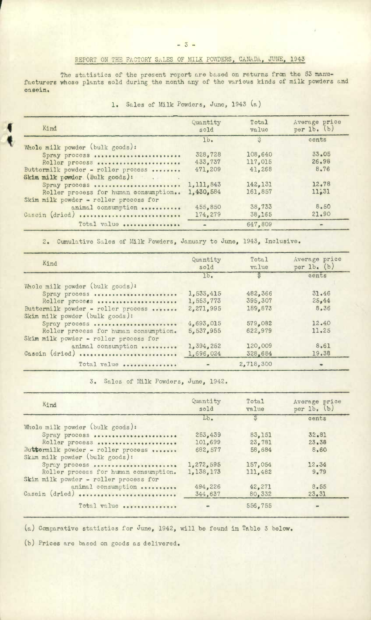## REPORT ON THE FACTORY SALES OF MILK POWDERS, CANADA, JUNE, 1943

The statistics of the present report are based on returns from the 53 manufacturers whose plants sold during the month any of the various kinds of milk powders and oasein.

| 1. Sales of Milk Powders, June, 1943 (a) |  |  |
|------------------------------------------|--|--|
|------------------------------------------|--|--|

| Quantity<br>sold | Total<br>value                                                     | Average price<br>per $lb.$ (b)                              |
|------------------|--------------------------------------------------------------------|-------------------------------------------------------------|
| 1 <sub>b</sub>   | $\ddot{\circ}$                                                     | cents                                                       |
|                  |                                                                    |                                                             |
| 328,728          | 108.640                                                            | 33.05                                                       |
|                  | 117,015                                                            | 26.98                                                       |
|                  |                                                                    | 8.76                                                        |
|                  |                                                                    |                                                             |
|                  |                                                                    | 12.78                                                       |
|                  |                                                                    | 11,31                                                       |
|                  |                                                                    |                                                             |
|                  |                                                                    | 8,50                                                        |
|                  |                                                                    | 21.90                                                       |
|                  |                                                                    |                                                             |
|                  |                                                                    |                                                             |
|                  | 433,737<br>471,209<br>1,111,843<br>1,430,584<br>455,850<br>174,279 | 41,268<br>142,131<br>161,857<br>38,733<br>38.165<br>647.809 |

2. Cumulative Sales of Milk Powders, January to June, 1943, Inclusive.

| Kind                                                                                     | Quantity<br>sold                    | Total<br>value                | Average price<br>per $1b_{\bullet}$ (b) |
|------------------------------------------------------------------------------------------|-------------------------------------|-------------------------------|-----------------------------------------|
|                                                                                          | 1 <sub>b</sub>                      | $\mathbb{S}$                  | cents                                   |
| Whole milk powder (bulk goods):                                                          |                                     |                               |                                         |
| Spray process<br>Roller process<br>Buttermilk powder - roller process                    | 1,533,415<br>1,553,773<br>2,271,995 | 482,366<br>395,307<br>189,873 | 31.46<br>25,44<br>8.36                  |
| Skim milk powder (bulk goods):<br>Spray process<br>Roller process for human consumption. | 4,693,015<br>5,537,955              | 579.082<br>622,979            | 12.40<br>11.25                          |
| Skim milk powder - roller process for<br>animal consumption<br>Casein (dried)            | 1,394,252<br>1,696,024              | 120,009<br>328.684            | 8.61<br>19.38                           |
| Total value                                                                              |                                     | 2,718,300                     |                                         |

3. Sales of Milk Powders, June, 1942.

| Kind                                                                 | Quantity<br>sold | Total<br>value | Average price<br>per $1b$ , $(b)$ |
|----------------------------------------------------------------------|------------------|----------------|-----------------------------------|
|                                                                      | $Lb$ .           | $rac{1}{2}$    | cents                             |
| Whole milk powder (bulk goods):                                      |                  |                |                                   |
| Spray process                                                        | 253,439          | 83,151         | 32.81                             |
| Roller process                                                       | 101,699          | 23.781         | $23 - 38$                         |
| Buttermilk powder - roller process<br>Skim milk powder (bulk goods): | 682,577          | 58,684         | 8,60                              |
| Spray process                                                        | 1,272,595        | 157,054        | 12.34                             |
| Roller process for human consumption.                                | 1, 138, 173      | 111,482        | $9 - 79$                          |
| Skim milk powder - roller process for                                |                  |                |                                   |
| animal consumption                                                   | 494,226          | 42,271         | 8,55                              |
| Casein (dried)                                                       | 344,637          | 80,332         | 23.31                             |
| Total value                                                          |                  | 556,755        | $\blacksquare$                    |

(a) Comparative statistics for June, 1942, will be found in Table 3 below.

Prices are based on goods as delivered.

4